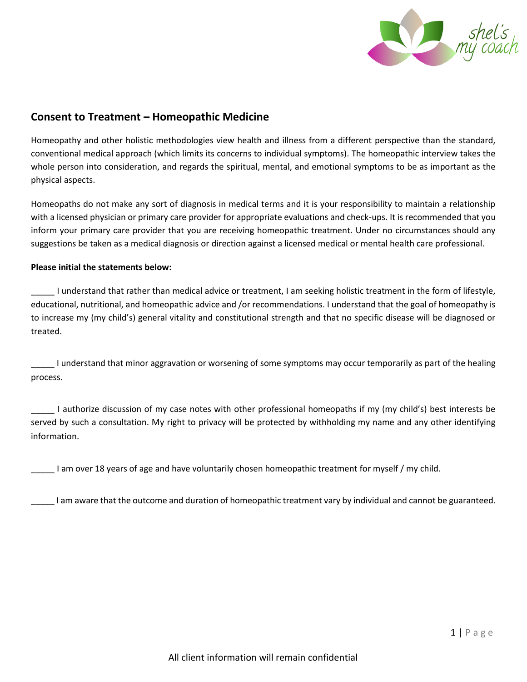

## **Consent to Treatment – Homeopathic Medicine**

Homeopathy and other holistic methodologies view health and illness from a different perspective than the standard, conventional medical approach (which limits its concerns to individual symptoms). The homeopathic interview takes the whole person into consideration, and regards the spiritual, mental, and emotional symptoms to be as important as the physical aspects.

Homeopaths do not make any sort of diagnosis in medical terms and it is your responsibility to maintain a relationship with a licensed physician or primary care provider for appropriate evaluations and check-ups. It is recommended that you inform your primary care provider that you are receiving homeopathic treatment. Under no circumstances should any suggestions be taken as a medical diagnosis or direction against a licensed medical or mental health care professional.

## **Please initial the statements below:**

\_\_\_\_\_ I understand that rather than medical advice or treatment, I am seeking holistic treatment in the form of lifestyle, educational, nutritional, and homeopathic advice and /or recommendations. I understand that the goal of homeopathy is to increase my (my child's) general vitality and constitutional strength and that no specific disease will be diagnosed or treated.

\_\_\_\_\_ I understand that minor aggravation or worsening of some symptoms may occur temporarily as part of the healing process.

\_\_\_\_\_ I authorize discussion of my case notes with other professional homeopaths if my (my child's) best interests be served by such a consultation. My right to privacy will be protected by withholding my name and any other identifying information.

\_\_\_\_\_ I am over 18 years of age and have voluntarily chosen homeopathic treatment for myself / my child.

\_\_\_\_\_ I am aware that the outcome and duration of homeopathic treatment vary by individual and cannot be guaranteed.